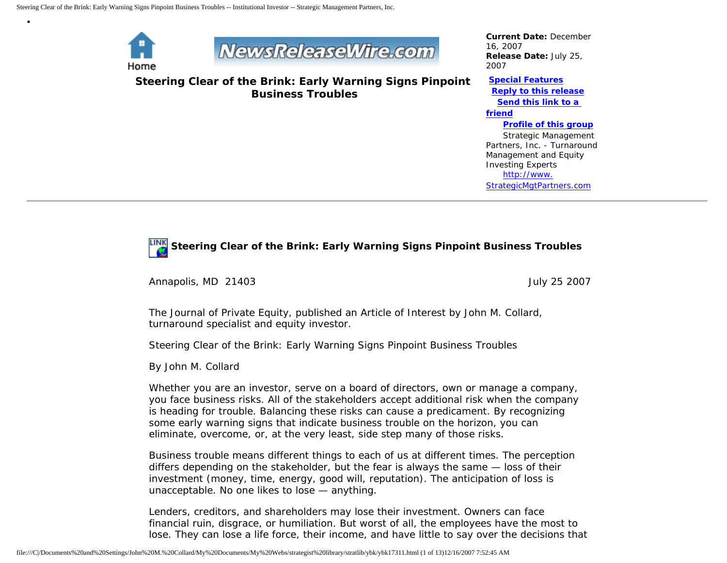

•



**Steering Clear of the Brink: Early Warning Signs Pinpoint Business Troubles**

*Current Date:* December 16, 2007 *Release Date:* July 25, 2007

**[Special Features](javascript:openlittleme() [Reply to this release](file:///C|/Documents%20and%20Settings/John%20M.%20Collard/My%20Documents/My%20Webs/strategist%20library/stratlib/ybk/default.cfm?Action=ReplyRelease&Id=17311) [Send this link to a](file:///C|/Documents%20and%20Settings/John%20M.%20Collard/My%20Documents/My%20Webs/strategist%20library/stratlib/ybk/default.cfm?Action=SendLink&SendId=17311)  [friend](file:///C|/Documents%20and%20Settings/John%20M.%20Collard/My%20Documents/My%20Webs/strategist%20library/stratlib/ybk/default.cfm?Action=SendLink&SendId=17311) [Profile of this group](file:///C|/Documents%20and%20Settings/John%20M.%20Collard/My%20Documents/My%20Webs/strategist%20library/stratlib/ybk/default.cfm?Action=Profile&ProfileId=623)** Strategic Management Partners, Inc. - Turnaround Management and Equity Investing Experts

 [http://www.](http://www.strategicmgtpartners.com/) [StrategicMgtPartners.com](http://www.strategicmgtpartners.com/)

**Steering Clear of the Brink: Early Warning Signs Pinpoint Business Troubles** 

Annapolis, MD 21403 **July 25 2007** 

The Journal of Private Equity, published an Article of Interest by John M. Collard, turnaround specialist and equity investor.

Steering Clear of the Brink: Early Warning Signs Pinpoint Business Troubles

By John M. Collard

Whether you are an investor, serve on a board of directors, own or manage a company, you face business risks. All of the stakeholders accept additional risk when the company is heading for trouble. Balancing these risks can cause a predicament. By recognizing some early warning signs that indicate business trouble on the horizon, you can eliminate, overcome, or, at the very least, side step many of those risks.

Business trouble means different things to each of us at different times. The perception differs depending on the stakeholder, but the fear is always the same — loss of their investment (money, time, energy, good will, reputation). The anticipation of loss is unacceptable. No one likes to lose — anything.

Lenders, creditors, and shareholders may lose their investment. Owners can face financial ruin, disgrace, or humiliation. But worst of all, the employees have the most to lose. They can lose a life force, their income, and have little to say over the decisions that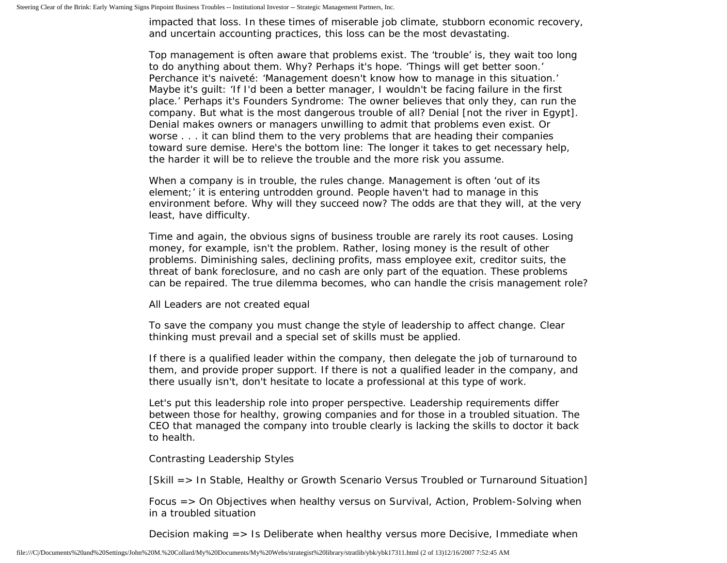impacted that loss. In these times of miserable job climate, stubborn economic recovery, and uncertain accounting practices, this loss can be the most devastating.

Top management is often aware that problems exist. The 'trouble' is, they wait too long to do anything about them. Why? Perhaps it's hope. 'Things will get better soon.' Perchance it's naiveté: 'Management doesn't know how to manage in this situation.' Maybe it's guilt: 'If I'd been a better manager, I wouldn't be facing failure in the first place.' Perhaps it's Founders Syndrome: The owner believes that only they, can run the company. But what is the most dangerous trouble of all? Denial [not the river in Egypt]. Denial makes owners or managers unwilling to admit that problems even exist. Or worse . . . it can blind them to the very problems that are heading their companies toward sure demise. Here's the bottom line: The longer it takes to get necessary help, the harder it will be to relieve the trouble and the more risk you assume.

When a company is in trouble, the rules change. Management is often 'out of its element;' it is entering untrodden ground. People haven't had to manage in this environment before. Why will they succeed now? The odds are that they will, at the very least, have difficulty.

Time and again, the obvious signs of business trouble are rarely its root causes. Losing money, for example, isn't the problem. Rather, losing money is the result of other problems. Diminishing sales, declining profits, mass employee exit, creditor suits, the threat of bank foreclosure, and no cash are only part of the equation. These problems can be repaired. The true dilemma becomes, who can handle the crisis management role?

All Leaders are not created equal

To save the company you must change the style of leadership to affect change. Clear thinking must prevail and a special set of skills must be applied.

If there is a qualified leader within the company, then delegate the job of turnaround to them, and provide proper support. If there is not a qualified leader in the company, and there usually isn't, don't hesitate to locate a professional at this type of work.

Let's put this leadership role into proper perspective. Leadership requirements differ between those for healthy, growing companies and for those in a troubled situation. The CEO that managed the company into trouble clearly is lacking the skills to doctor it back to health.

Contrasting Leadership Styles

[Skill => In Stable, Healthy or Growth Scenario Versus Troubled or Turnaround Situation]

Focus => On Objectives when healthy versus on Survival, Action, Problem-Solving when in a troubled situation

Decision making => Is Deliberate when healthy versus more Decisive, Immediate when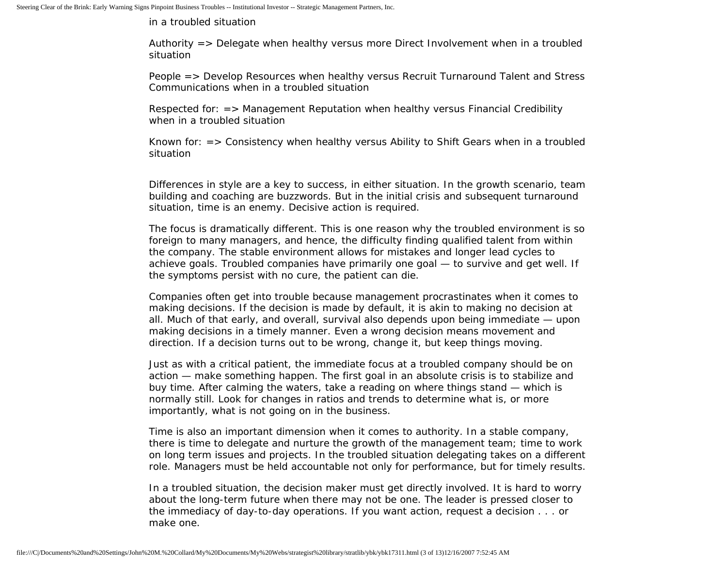in a troubled situation

Authority => Delegate when healthy versus more Direct Involvement when in a troubled situation

People => Develop Resources when healthy versus Recruit Turnaround Talent and Stress Communications when in a troubled situation

Respected for: => Management Reputation when healthy versus Financial Credibility when in a troubled situation

Known for: => Consistency when healthy versus Ability to Shift Gears when in a troubled situation

Differences in style are a key to success, in either situation. In the growth scenario, team building and coaching are buzzwords. But in the initial crisis and subsequent turnaround situation, time is an enemy. Decisive action is required.

The focus is dramatically different. This is one reason why the troubled environment is so foreign to many managers, and hence, the difficulty finding qualified talent from within the company. The stable environment allows for mistakes and longer lead cycles to achieve goals. Troubled companies have primarily one goal — to survive and get well. If the symptoms persist with no cure, the patient can die.

Companies often get into trouble because management procrastinates when it comes to making decisions. If the decision is made by default, it is akin to making no decision at all. Much of that early, and overall, survival also depends upon being immediate — upon making decisions in a timely manner. Even a wrong decision means movement and direction. If a decision turns out to be wrong, change it, but keep things moving.

Just as with a critical patient, the immediate focus at a troubled company should be on action — make something happen. The first goal in an absolute crisis is to stabilize and buy time. After calming the waters, take a reading on where things stand — which is normally still. Look for changes in ratios and trends to determine what is, or more importantly, what is not going on in the business.

Time is also an important dimension when it comes to authority. In a stable company, there is time to delegate and nurture the growth of the management team; time to work on long term issues and projects. In the troubled situation delegating takes on a different role. Managers must be held accountable not only for performance, but for timely results.

In a troubled situation, the decision maker must get directly involved. It is hard to worry about the long-term future when there may not be one. The leader is pressed closer to the immediacy of day-to-day operations. If you want action, request a decision . . . or make one.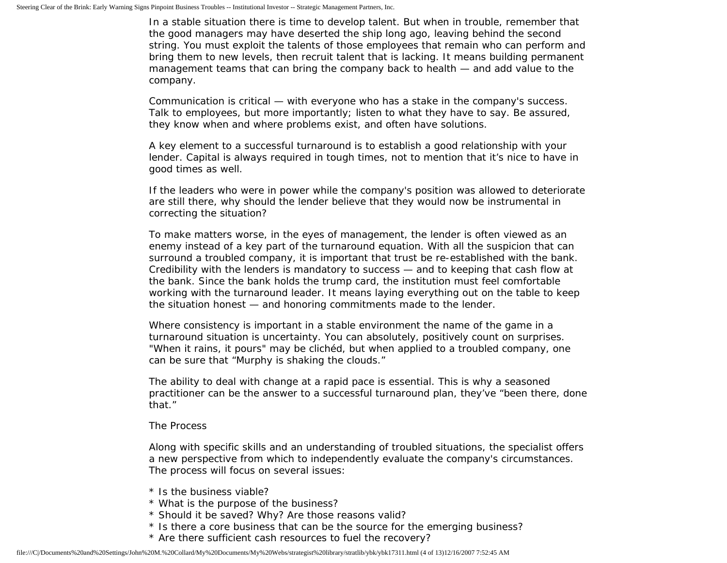In a stable situation there is time to develop talent. But when in trouble, remember that the good managers may have deserted the ship long ago, leaving behind the second string. You must exploit the talents of those employees that remain who can perform and bring them to new levels, then recruit talent that is lacking. It means building permanent management teams that can bring the company back to health — and add value to the company.

Communication is critical — with everyone who has a stake in the company's success. Talk to employees, but more importantly; listen to what they have to say. Be assured, they know when and where problems exist, and often have solutions.

A key element to a successful turnaround is to establish a good relationship with your lender. Capital is always required in tough times, not to mention that it's nice to have in good times as well.

If the leaders who were in power while the company's position was allowed to deteriorate are still there, why should the lender believe that they would now be instrumental in correcting the situation?

To make matters worse, in the eyes of management, the lender is often viewed as an enemy instead of a key part of the turnaround equation. With all the suspicion that can surround a troubled company, it is important that trust be re-established with the bank. Credibility with the lenders is mandatory to success — and to keeping that cash flow at the bank. Since the bank holds the trump card, the institution must feel comfortable working with the turnaround leader. It means laying everything out on the table to keep the situation honest — and honoring commitments made to the lender.

Where consistency is important in a stable environment the name of the game in a turnaround situation is uncertainty. You can absolutely, positively count on surprises. "When it rains, it pours" may be clichéd, but when applied to a troubled company, one can be sure that "Murphy is shaking the clouds."

The ability to deal with change at a rapid pace is essential. This is why a seasoned practitioner can be the answer to a successful turnaround plan, they've "been there, done that."

## The Process

Along with specific skills and an understanding of troubled situations, the specialist offers a new perspective from which to independently evaluate the company's circumstances. The process will focus on several issues:

- \* Is the business viable?
- \* What is the purpose of the business?
- \* Should it be saved? Why? Are those reasons valid?
- \* Is there a core business that can be the source for the emerging business?
- \* Are there sufficient cash resources to fuel the recovery?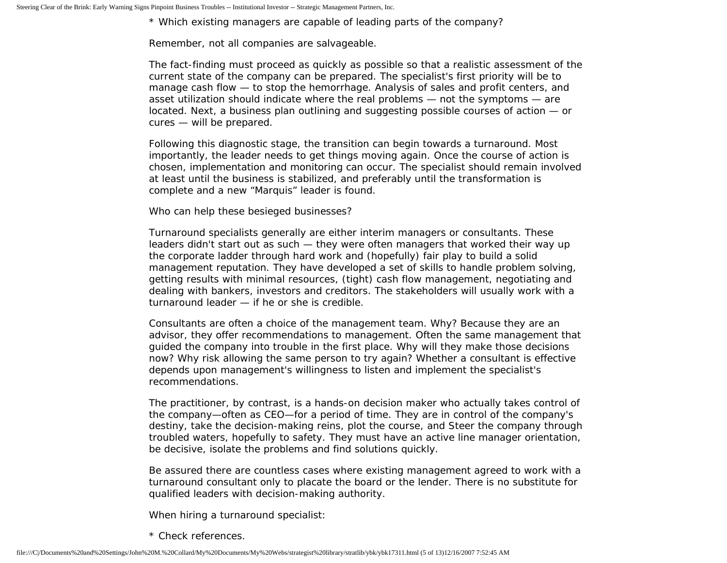\* Which existing managers are capable of leading parts of the company?

Remember, not all companies are salvageable.

The fact-finding must proceed as quickly as possible so that a realistic assessment of the current state of the company can be prepared. The specialist's first priority will be to manage cash flow — to stop the hemorrhage. Analysis of sales and profit centers, and asset utilization should indicate where the real problems — not the symptoms — are located. Next, a business plan outlining and suggesting possible courses of action — or cures — will be prepared.

Following this diagnostic stage, the transition can begin towards a turnaround. Most importantly, the leader needs to get things moving again. Once the course of action is chosen, implementation and monitoring can occur. The specialist should remain involved at least until the business is stabilized, and preferably until the transformation is complete and a new "Marquis" leader is found.

Who can help these besieged businesses?

Turnaround specialists generally are either interim managers or consultants. These leaders didn't start out as such — they were often managers that worked their way up the corporate ladder through hard work and (hopefully) fair play to build a solid management reputation. They have developed a set of skills to handle problem solving, getting results with minimal resources, (tight) cash flow management, negotiating and dealing with bankers, investors and creditors. The stakeholders will usually work with a turnaround leader — if he or she is credible.

Consultants are often a choice of the management team. Why? Because they are an advisor, they offer recommendations to management. Often the same management that guided the company into trouble in the first place. Why will they make those decisions now? Why risk allowing the same person to try again? Whether a consultant is effective depends upon management's willingness to listen and implement the specialist's recommendations.

The practitioner, by contrast, is a hands-on decision maker who actually takes control of the company—often as CEO—for a period of time. They are in control of the company's destiny, take the decision-making reins, plot the course, and Steer the company through troubled waters, hopefully to safety. They must have an active line manager orientation, be decisive, isolate the problems and find solutions quickly.

Be assured there are countless cases where existing management agreed to work with a turnaround consultant only to placate the board or the lender. There is no substitute for qualified leaders with decision-making authority.

When hiring a turnaround specialist:

\* Check references.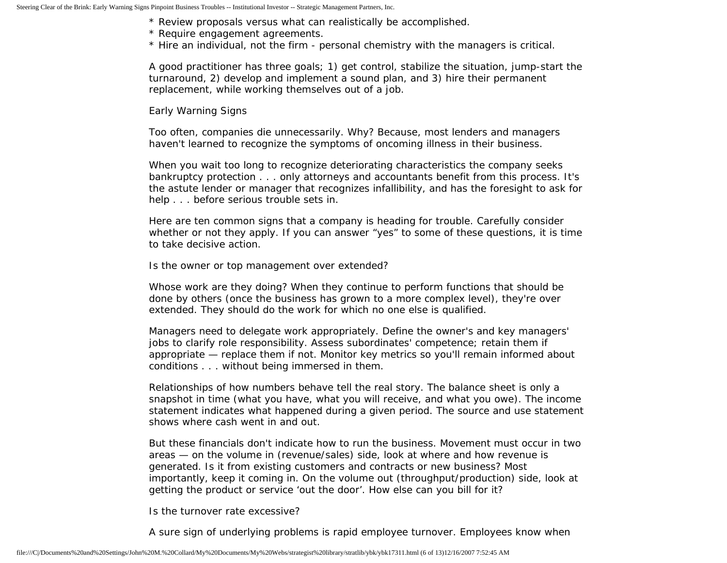- \* Review proposals versus what can realistically be accomplished.
- \* Require engagement agreements.
- \* Hire an individual, not the firm personal chemistry with the managers is critical.

A good practitioner has three goals; 1) get control, stabilize the situation, jump-start the turnaround, 2) develop and implement a sound plan, and 3) hire their permanent replacement, while working themselves out of a job.

## Early Warning Signs

Too often, companies die unnecessarily. Why? Because, most lenders and managers haven't learned to recognize the symptoms of oncoming illness in their business.

When you wait too long to recognize deteriorating characteristics the company seeks bankruptcy protection . . . only attorneys and accountants benefit from this process. It's the astute lender or manager that recognizes infallibility, and has the foresight to ask for help . . . before serious trouble sets in.

Here are ten common signs that a company is heading for trouble. Carefully consider whether or not they apply. If you can answer "yes" to some of these questions, it is time to take decisive action.

Is the owner or top management over extended?

Whose work are they doing? When they continue to perform functions that should be done by others (once the business has grown to a more complex level), they're over extended. They should do the work for which no one else is qualified.

Managers need to delegate work appropriately. Define the owner's and key managers' jobs to clarify role responsibility. Assess subordinates' competence; retain them if appropriate — replace them if not. Monitor key metrics so you'll remain informed about conditions . . . without being immersed in them.

Relationships of how numbers behave tell the real story. The balance sheet is only a snapshot in time (what you have, what you will receive, and what you owe). The income statement indicates what happened during a given period. The source and use statement shows where cash went in and out.

But these financials don't indicate how to run the business. Movement must occur in two areas — on the volume in (revenue/sales) side, look at where and how revenue is generated. Is it from existing customers and contracts or new business? Most importantly, keep it coming in. On the volume out (throughput/production) side, look at getting the product or service 'out the door'. How else can you bill for it?

Is the turnover rate excessive?

A sure sign of underlying problems is rapid employee turnover. Employees know when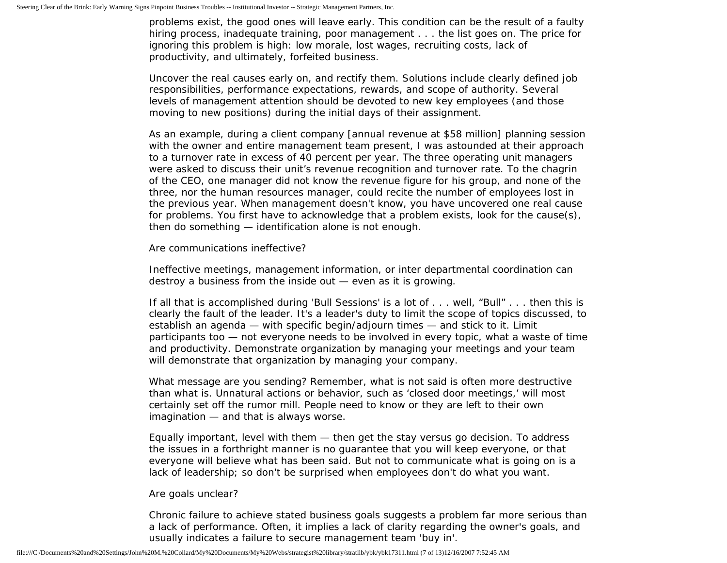problems exist, the good ones will leave early. This condition can be the result of a faulty hiring process, inadequate training, poor management . . . the list goes on. The price for ignoring this problem is high: low morale, lost wages, recruiting costs, lack of productivity, and ultimately, forfeited business.

Uncover the real causes early on, and rectify them. Solutions include clearly defined job responsibilities, performance expectations, rewards, and scope of authority. Several levels of management attention should be devoted to new key employees (and those moving to new positions) during the initial days of their assignment.

As an example, during a client company [annual revenue at \$58 million] planning session with the owner and entire management team present, I was astounded at their approach to a turnover rate in excess of 40 percent per year. The three operating unit managers were asked to discuss their unit's revenue recognition and turnover rate. To the chagrin of the CEO, one manager did not know the revenue figure for his group, and none of the three, nor the human resources manager, could recite the number of employees lost in the previous year. When management doesn't know, you have uncovered one real cause for problems. You first have to acknowledge that a problem exists, look for the cause(s), then do something — identification alone is not enough.

Are communications ineffective?

Ineffective meetings, management information, or inter departmental coordination can destroy a business from the inside out — even as it is growing.

If all that is accomplished during 'Bull Sessions' is a lot of . . . well, "Bull" . . . then this is clearly the fault of the leader. It's a leader's duty to limit the scope of topics discussed, to establish an agenda — with specific begin/adjourn times — and stick to it. Limit participants too — not everyone needs to be involved in every topic, what a waste of time and productivity. Demonstrate organization by managing your meetings and your team will demonstrate that organization by managing your company.

What message are you sending? Remember, what is not said is often more destructive than what is. Unnatural actions or behavior, such as 'closed door meetings,' will most certainly set off the rumor mill. People need to know or they are left to their own imagination — and that is always worse.

Equally important, level with them — then get the stay versus go decision. To address the issues in a forthright manner is no guarantee that you will keep everyone, or that everyone will believe what has been said. But not to communicate what is going on is a lack of leadership; so don't be surprised when employees don't do what you want.

## Are goals unclear?

Chronic failure to achieve stated business goals suggests a problem far more serious than a lack of performance. Often, it implies a lack of clarity regarding the owner's goals, and usually indicates a failure to secure management team 'buy in'.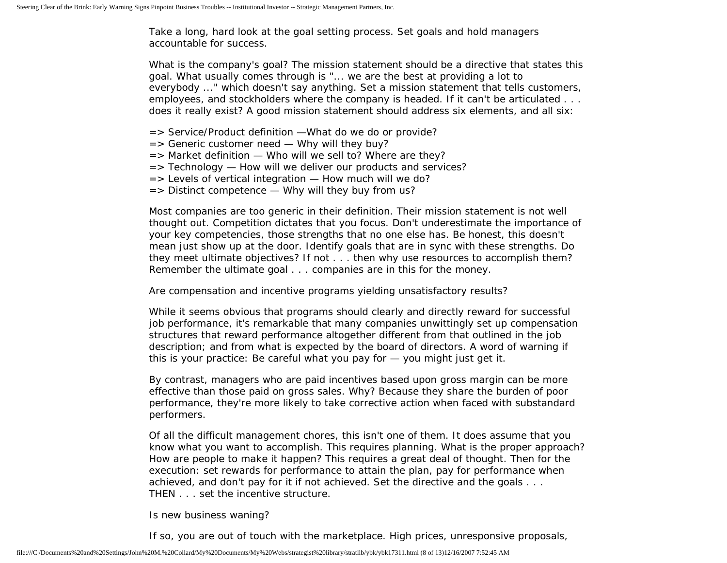Take a long, hard look at the goal setting process. Set goals and hold managers accountable for success.

What is the company's goal? The mission statement should be a directive that states this goal. What usually comes through is "... we are the best at providing a lot to everybody ..." which doesn't say anything. Set a mission statement that tells customers, employees, and stockholders where the company is headed. If it can't be articulated . . . does it really exist? A good mission statement should address six elements, and all six:

- => Service/Product definition —What do we do or provide?
- => Generic customer need Why will they buy?
- => Market definition Who will we sell to? Where are they?
- $\epsilon$  = > Technology  $-$  How will we deliver our products and services?
- $\Rightarrow$  Levels of vertical integration  $-$  How much will we do?
- $\Rightarrow$  Distinct competence  $-$  Why will they buy from us?

Most companies are too generic in their definition. Their mission statement is not well thought out. Competition dictates that you focus. Don't underestimate the importance of your key competencies, those strengths that no one else has. Be honest, this doesn't mean just show up at the door. Identify goals that are in sync with these strengths. Do they meet ultimate objectives? If not . . . then why use resources to accomplish them? Remember the ultimate goal . . . companies are in this for the money.

Are compensation and incentive programs yielding unsatisfactory results?

While it seems obvious that programs should clearly and directly reward for successful job performance, it's remarkable that many companies unwittingly set up compensation structures that reward performance altogether different from that outlined in the job description; and from what is expected by the board of directors. A word of warning if this is your practice: Be careful what you pay for — you might just get it.

By contrast, managers who are paid incentives based upon gross margin can be more effective than those paid on gross sales. Why? Because they share the burden of poor performance, they're more likely to take corrective action when faced with substandard performers.

Of all the difficult management chores, this isn't one of them. It does assume that you know what you want to accomplish. This requires planning. What is the proper approach? How are people to make it happen? This requires a great deal of thought. Then for the execution: set rewards for performance to attain the plan, pay for performance when achieved, and don't pay for it if not achieved. Set the directive and the goals . . . THEN . . . set the incentive structure.

Is new business waning?

If so, you are out of touch with the marketplace. High prices, unresponsive proposals,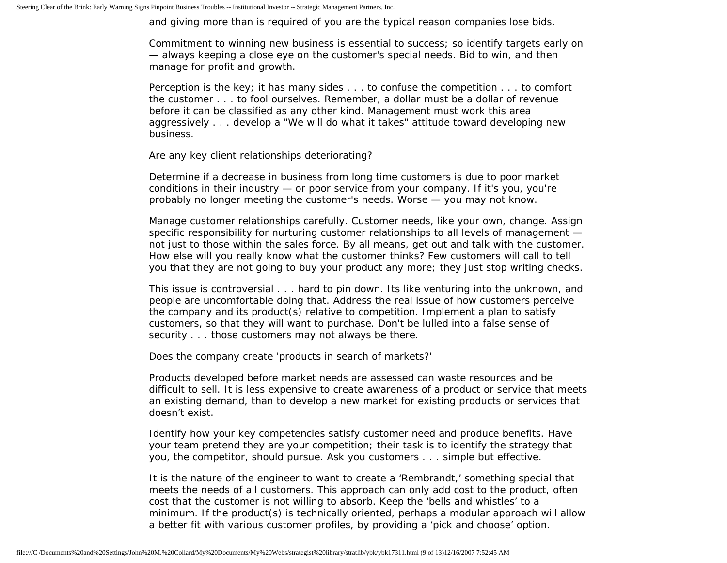and giving more than is required of you are the typical reason companies lose bids.

Commitment to winning new business is essential to success; so identify targets early on — always keeping a close eye on the customer's special needs. Bid to win, and then manage for profit and growth.

Perception is the key; it has many sides . . . to confuse the competition . . . to comfort the customer . . . to fool ourselves. Remember, a dollar must be a dollar of revenue before it can be classified as any other kind. Management must work this area aggressively . . . develop a "We will do what it takes" attitude toward developing new business.

Are any key client relationships deteriorating?

Determine if a decrease in business from long time customers is due to poor market conditions in their industry — or poor service from your company. If it's you, you're probably no longer meeting the customer's needs. Worse — you may not know.

Manage customer relationships carefully. Customer needs, like your own, change. Assign specific responsibility for nurturing customer relationships to all levels of management not just to those within the sales force. By all means, get out and talk with the customer. How else will you really know what the customer thinks? Few customers will call to tell you that they are not going to buy your product any more; they just stop writing checks.

This issue is controversial . . . hard to pin down. Its like venturing into the unknown, and people are uncomfortable doing that. Address the real issue of how customers perceive the company and its product(s) relative to competition. Implement a plan to satisfy customers, so that they will want to purchase. Don't be lulled into a false sense of security . . . those customers may not always be there.

Does the company create 'products in search of markets?'

Products developed before market needs are assessed can waste resources and be difficult to sell. It is less expensive to create awareness of a product or service that meets an existing demand, than to develop a new market for existing products or services that doesn't exist.

Identify how your key competencies satisfy customer need and produce benefits. Have your team pretend they are your competition; their task is to identify the strategy that you, the competitor, should pursue. Ask you customers . . . simple but effective.

It is the nature of the engineer to want to create a 'Rembrandt,' something special that meets the needs of all customers. This approach can only add cost to the product, often cost that the customer is not willing to absorb. Keep the 'bells and whistles' to a minimum. If the product(s) is technically oriented, perhaps a modular approach will allow a better fit with various customer profiles, by providing a 'pick and choose' option.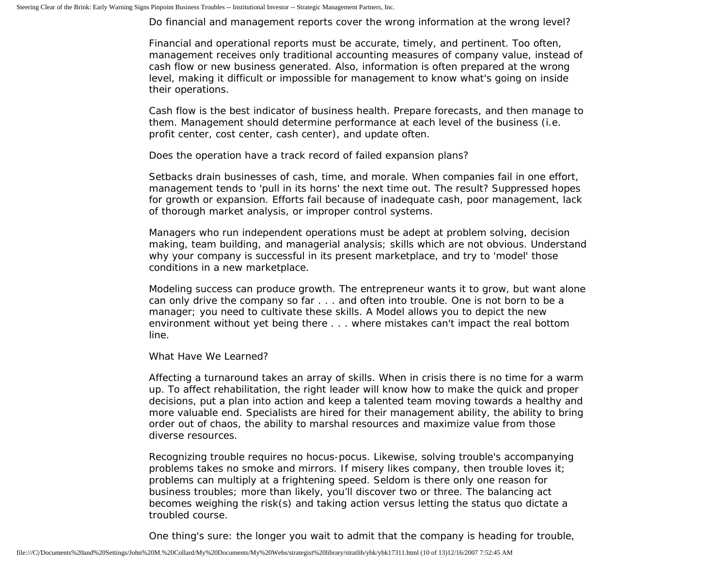Do financial and management reports cover the wrong information at the wrong level?

Financial and operational reports must be accurate, timely, and pertinent. Too often, management receives only traditional accounting measures of company value, instead of cash flow or new business generated. Also, information is often prepared at the wrong level, making it difficult or impossible for management to know what's going on inside their operations.

Cash flow is the best indicator of business health. Prepare forecasts, and then manage to them. Management should determine performance at each level of the business (i.e. profit center, cost center, cash center), and update often.

Does the operation have a track record of failed expansion plans?

Setbacks drain businesses of cash, time, and morale. When companies fail in one effort, management tends to 'pull in its horns' the next time out. The result? Suppressed hopes for growth or expansion. Efforts fail because of inadequate cash, poor management, lack of thorough market analysis, or improper control systems.

Managers who run independent operations must be adept at problem solving, decision making, team building, and managerial analysis; skills which are not obvious. Understand why your company is successful in its present marketplace, and try to 'model' those conditions in a new marketplace.

Modeling success can produce growth. The entrepreneur wants it to grow, but want alone can only drive the company so far . . . and often into trouble. One is not born to be a manager; you need to cultivate these skills. A Model allows you to depict the new environment without yet being there . . . where mistakes can't impact the real bottom line.

What Have We Learned?

Affecting a turnaround takes an array of skills. When in crisis there is no time for a warm up. To affect rehabilitation, the right leader will know how to make the quick and proper decisions, put a plan into action and keep a talented team moving towards a healthy and more valuable end. Specialists are hired for their management ability, the ability to bring order out of chaos, the ability to marshal resources and maximize value from those diverse resources.

Recognizing trouble requires no hocus-pocus. Likewise, solving trouble's accompanying problems takes no smoke and mirrors. If misery likes company, then trouble loves it; problems can multiply at a frightening speed. Seldom is there only one reason for business troubles; more than likely, you'll discover two or three. The balancing act becomes weighing the risk(s) and taking action versus letting the status quo dictate a troubled course.

One thing's sure: the longer you wait to admit that the company is heading for trouble,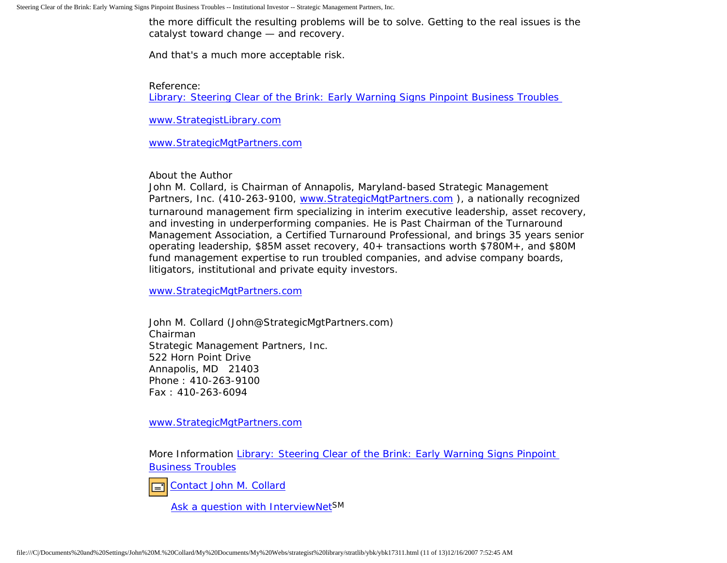the more difficult the resulting problems will be to solve. Getting to the real issues is the catalyst toward change — and recovery.

And that's a much more acceptable risk.

Reference:

[Library: Steering Clear of the Brink: Early Warning Signs Pinpoint Business Troubles](http://members.aol.com/stratlib2/jpe.html) 

[www.StrategistLibrary.com](http://www.strategistlibrary.com/)

[www.StrategicMgtPartners.com](http://www.strategicmgtpartners.com/)

About the Author

John M. Collard, is Chairman of Annapolis, Maryland-based Strategic Management Partners, Inc. (410-263-9100, [www.StrategicMgtPartners.com](http://www.strategicmgtpartners.com/) ), a nationally recognized turnaround management firm specializing in interim executive leadership, asset recovery, and investing in underperforming companies. He is Past Chairman of the Turnaround Management Association, a Certified Turnaround Professional, and brings 35 years senior operating leadership, \$85M asset recovery, 40+ transactions worth \$780M+, and \$80M fund management expertise to run troubled companies, and advise company boards, litigators, institutional and private equity investors.

[www.StrategicMgtPartners.com](http://www.strategicmgtpartners.com/)

John M. Collard (John@StrategicMgtPartners.com) Chairman Strategic Management Partners, Inc. 522 Horn Point Drive Annapolis, MD 21403 Phone : 410-263-9100 Fax : 410-263-6094

[www.StrategicMgtPartners.com](http://www.strategicmgtpartners.com/)

More Information [Library: Steering Clear of the Brink: Early Warning Signs Pinpoint](http://members.aol.com/stratlib2/jpe.html)  [Business Troubles](http://members.aol.com/stratlib2/jpe.html)

[Contact John M. Collard](http://www.expertclick.com/expertClick/contact/default.cfm?Action=ContactExpert&GroupID=1016) ।⊒

[Ask a question with InterviewNetS](http://www.expertclick.com/expertClick/contact/default.cfm?GroupID=1016)M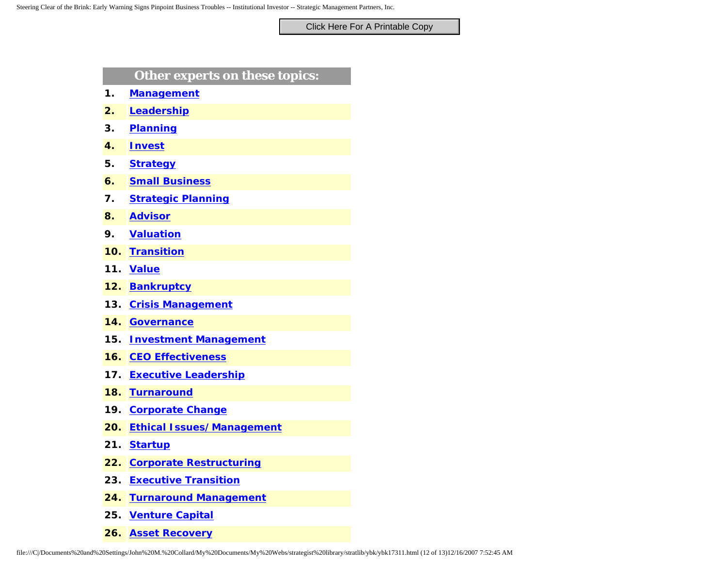## **Other experts on these topics:**

- **1. [Management](http://www.expertclick.com/search/default.cfm?SearchCriteria=Management)**
- **2. [Leadership](http://www.expertclick.com/search/default.cfm?SearchCriteria=Leadership) 3. [Planning](http://www.expertclick.com/search/default.cfm?SearchCriteria=Planning)**
- 
- **4. [Invest](http://www.expertclick.com/search/default.cfm?SearchCriteria=Invest)**
- **5. [Strategy](http://www.expertclick.com/search/default.cfm?SearchCriteria=Strategy)**
- **6. [Small Business](http://www.expertclick.com/search/default.cfm?SearchCriteria=Small Business)**
- **7. [Strategic Planning](http://www.expertclick.com/search/default.cfm?SearchCriteria=Strategic Planning)**
- **8. [Advisor](http://www.expertclick.com/search/default.cfm?SearchCriteria=Advisor)**
- **9. [Valuation](http://www.expertclick.com/search/default.cfm?SearchCriteria=Valuation)**
- **10. [Transition](http://www.expertclick.com/search/default.cfm?SearchCriteria=Transition)**
- **11. [Value](http://www.expertclick.com/search/default.cfm?SearchCriteria=Value)**
- **12. [Bankruptcy](http://www.expertclick.com/search/default.cfm?SearchCriteria=Bankruptcy)**
- **13. [Crisis Management](http://www.expertclick.com/search/default.cfm?SearchCriteria=Crisis Management)**
- **14. [Governance](http://www.expertclick.com/search/default.cfm?SearchCriteria=Governance)**
- **15. [Investment Management](http://www.expertclick.com/search/default.cfm?SearchCriteria=Investment Management)**
- **16. [CEO Effectiveness](http://www.expertclick.com/search/default.cfm?SearchCriteria=CEO Effectiveness)**
- **17. [Executive Leadership](http://www.expertclick.com/search/default.cfm?SearchCriteria=Executive Leadership)**
- **18. [Turnaround](http://www.expertclick.com/search/default.cfm?SearchCriteria=Turnaround)**
- **19. [Corporate Change](http://www.expertclick.com/search/default.cfm?SearchCriteria=Corporate Change)**
- **20. [Ethical Issues/Management](http://www.expertclick.com/search/default.cfm?SearchCriteria=Ethical Issues/Management)**
- **21. [Startup](http://www.expertclick.com/search/default.cfm?SearchCriteria=Startup)**
- **22. [Corporate Restructuring](http://www.expertclick.com/search/default.cfm?SearchCriteria=Corporate Restructuring)**
- **23. [Executive Transition](http://www.expertclick.com/search/default.cfm?SearchCriteria=Executive Transition)**
- **24. [Turnaround Management](http://www.expertclick.com/search/default.cfm?SearchCriteria=Turnaround Management)**
- **25. [Venture Capital](http://www.expertclick.com/search/default.cfm?SearchCriteria=Venture Capital)**
- **26. [Asset Recovery](http://www.expertclick.com/search/default.cfm?SearchCriteria=Asset Recovery)**